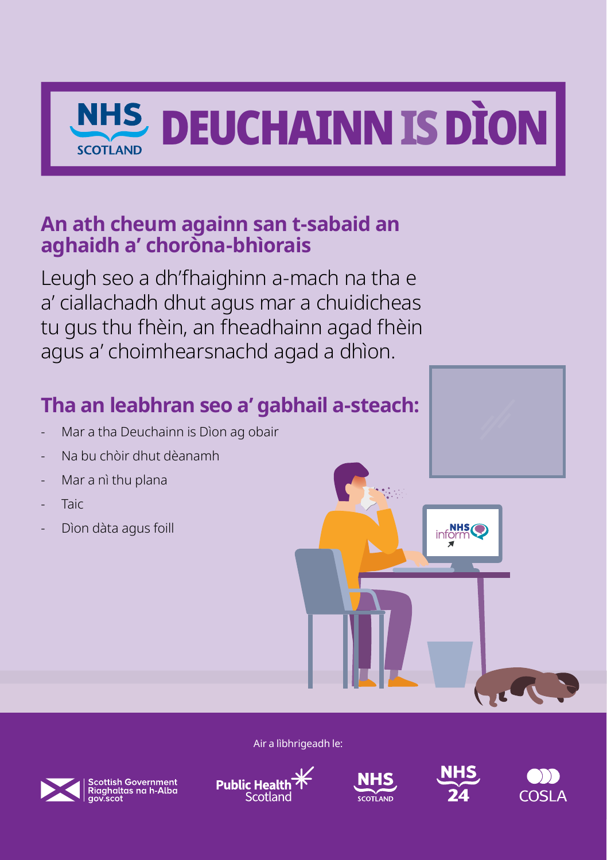

#### **An ath cheum againn san t-sabaid an aghaidh a' choròna-bhìorais**

Leugh seo a dh'fhaighinn a-mach na tha e a' ciallachadh dhut agus mar a chuidicheas tu gus thu fhèin, an fheadhainn agad fhèin agus a' choimhearsnachd agad a dhìon.

### **Tha an leabhran seo a' gabhail a-steach:**

- Mar a tha Deuchainn is Dìon ag obair
- Na bu chòir dhut dèanamh
- Mar a nì thu plana
- Taic
- Dìon dàta agus foill

Air a lìbhrigeadh le:



| Scottish Government<br>| Riaghaltas na h-Alba<br>| gov.scot







inform

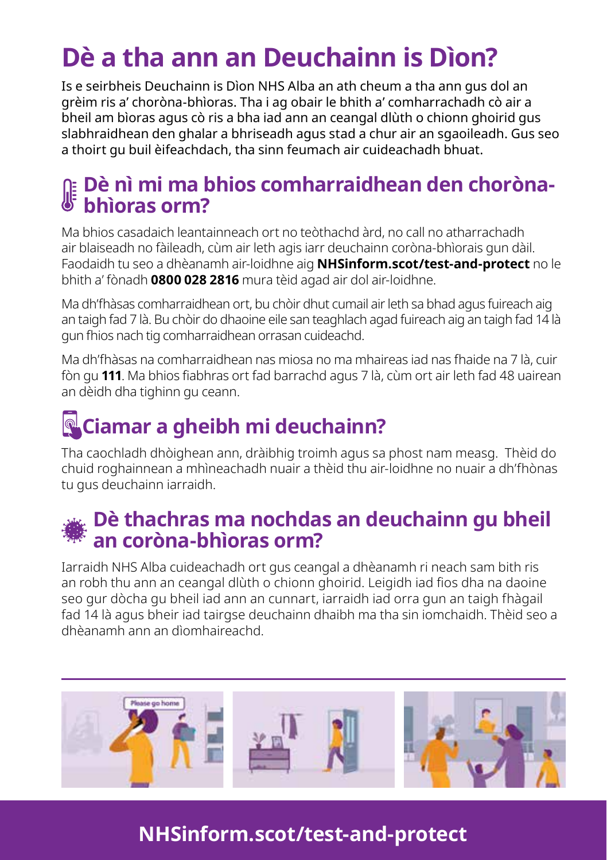# **Dè a tha ann an Deuchainn is Dìon?**

Is e seirbheis Deuchainn is Dìon NHS Alba an ath cheum a tha ann gus dol an grèim ris a' choròna-bhìoras. Tha i ag obair le bhith a' comharrachadh cò air a bheil am bìoras agus cò ris a bha iad ann an ceangal dlùth o chionn ghoirid gus slabhraidhean den ghalar a bhriseadh agus stad a chur air an sgaoileadh. Gus seo a thoirt gu buil èifeachdach, tha sinn feumach air cuideachadh bhuat.

### **Dè nì mi ma bhios comharraidhean den chorònabhìoras orm?**

Ma bhios casadaich leantainneach ort no teòthachd àrd, no call no atharrachadh air blaiseadh no fàileadh, cùm air leth agis iarr deuchainn coròna-bhìorais gun dàil. Faodaidh tu seo a dhèanamh air-loidhne aig **NHSinform.scot/test-and-protect** no le bhith a' fònadh **0800 028 2816** mura tèid agad air dol air-loidhne.

Ma dh'fhàsas comharraidhean ort, bu chòir dhut cumail air leth sa bhad agus fuireach aig an taigh fad 7 là. Bu chòir do dhaoine eile san teaghlach agad fuireach aig an taigh fad 14 là gun fhios nach tig comharraidhean orrasan cuideachd.

Ma dh'fhàsas na comharraidhean nas miosa no ma mhaireas iad nas fhaide na 7 là, cuir fòn gu **111**. Ma bhios fiabhras ort fad barrachd agus 7 là, cùm ort air leth fad 48 uairean an dèidh dha tighinn gu ceann.

# **Ciamar a gheibh mi deuchainn?**

Tha caochladh dhòighean ann, dràibhig troimh agus sa phost nam measg. Thèid do chuid roghainnean a mhìneachadh nuair a thèid thu air-loidhne no nuair a dh'fhònas tu gus deuchainn iarraidh.

### **Dè thachras ma nochdas an deuchainn gu bheil an coròna-bhìoras orm?**

Iarraidh NHS Alba cuideachadh ort gus ceangal a dhèanamh ri neach sam bith ris an robh thu ann an ceangal dlùth o chionn ghoirid. Leigidh iad fios dha na daoine seo gur dòcha gu bheil iad ann an cunnart, iarraidh iad orra gun an taigh fhàgail fad 14 là agus bheir iad tairgse deuchainn dhaibh ma tha sin iomchaidh. Thèid seo a dhèanamh ann an dìomhaireachd.



### **NHSinform.scot/test-and-protect**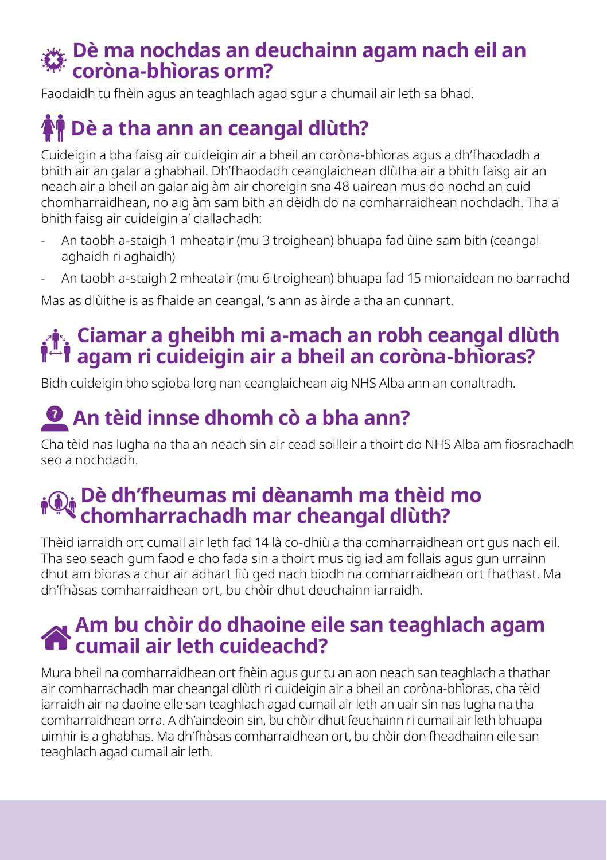#### ✖ **Dè ma nochdas an deuchainn agam nach eil an coròna-bhìoras orm?**

Faodaidh tu fhèin agus an teaghlach agad sgur a chumail air leth sa bhad.

## **Dè a tha ann an ceangal dlùth?**

Cuideigin a bha faisg air cuideigin air a bheil an coròna-bhìoras agus a dh'fhaodadh a bhith air an galar a ghabhail. Dh'fhaodadh ceanglaichean dlùtha air a bhith faisg air an neach air a bheil an galar aig àm air choreigin sna 48 uairean mus do nochd an cuid chomharraidhean, no aig àm sam bith an dèidh do na comharraidhean nochdadh. Tha a bhith faisg air cuideigin a' ciallachadh:

- An taobh a-staigh 1 mheatair (mu 3 troighean) bhuapa fad ùine sam bith (ceangal aghaidh ri aghaidh)
- An taobh a-staigh 2 mheatair (mu 6 troighean) bhuapa fad 15 mionaidean no barrachd

Mas as dlùithe is as fhaide an ceangal, 's ann as àirde a tha an cunnart.

### **Ciamar a gheibh mi a-mach an robh ceangal dlùth agam ri cuideigin air a bheil an coròna-bhìoras?**

Bidh cuideigin bho sgioba lorg nan ceanglaichean aig NHS Alba ann an conaltradh.

## **<sup><b>**</sup> An tèid innse dhomh cò a bha ann?

Cha tèid nas lugha na tha an neach sin air cead soilleir a thoirt do NHS Alba am fiosrachadh seo a nochdadh.

#### **Dè dh'fheumas mi dèanamh ma thèid mo chomharrachadh mar cheangal dlùth?**

Thèid iarraidh ort cumail air leth fad 14 là co-dhiù a tha comharraidhean ort gus nach eil. Tha seo seach gum faod e cho fada sin a thoirt mus tig iad am follais agus gun urrainn dhut am bìoras a chur air adhart fiù ged nach biodh na comharraidhean ort fhathast. Ma dh'fhàsas comharraidhean ort, bu chòir dhut deuchainn iarraidh.

#### **Am bu chòir do dhaoine eile san teaghlach agam cumail air leth cuideachd?**

Mura bheil na comharraidhean ort fhèin agus gur tu an aon neach san teaghlach a thathar air comharrachadh mar cheangal dlùth ri cuideigin air a bheil an coròna-bhìoras, cha tèid iarraidh air na daoine eile san teaghlach agad cumail air leth an uair sin nas lugha na tha comharraidhean orra. A dh'aindeoin sin, bu chòir dhut feuchainn ri cumail air leth bhuapa uimhir is a ghabhas. Ma dh'fhàsas comharraidhean ort, bu chòir don fheadhainn eile san teaghlach agad cumail air leth.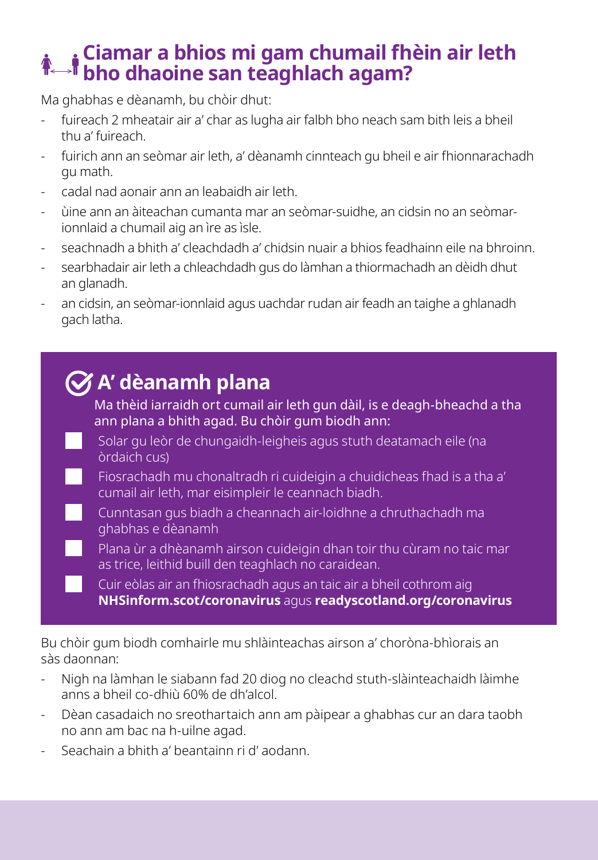### **Ciamar a bhios mi gam chumail fhèin air leth bho dhaoine san teaghlach agam?**

Ma ghabhas e dèanamh, bu chòir dhut:

- fuireach 2 mheatair air a' char as lugha air falbh bho neach sam bith leis a bheil thu a' fuireach.
- fuirich ann an seòmar air leth, a' dèanamh cinnteach gu bheil e air fhionnarachadh gu math.
- cadal nad aonair ann an leabaidh air leth.
- ùine ann an àiteachan cumanta mar an seòmar-suidhe, an cidsin no an seòmarionnlaid a chumail aig an ìre as ìsle.
- seachnadh a bhith a' cleachdadh a' chidsin nuair a bhios feadhainn eile na bhroinn.
- searbhadair air leth a chleachdadh gus do làmhan a thiormachadh an dèidh dhut an glanadh.
- an cidsin, an seòmar-ionnlaid agus uachdar rudan air feadh an taighe a ghlanadh gach latha.

## **A' dèanamh plana**

Ma thèid iarraidh ort cumail air leth gun dàil, is e deagh-bheachd a tha ann plana a bhith agad. Bu chòir gum biodh ann:

- Solar gu leòr de chungaidh-leigheis agus stuth deatamach eile (na òrdaich cus)
- Fiosrachadh mu chonaltradh ri cuideigin a chuidicheas fhad is a tha a' cumail air leth, mar eisimpleir le ceannach biadh.
- Cunntasan gus biadh a cheannach air-loidhne a chruthachadh ma ghabhas e dèanamh
- Plana ùr a dhèanamh airson cuideigin dhan toir thu cùram no taic mar as trice, leithid buill den teaghlach no caraidean.
	- Cuir eòlas air an fhiosrachadh agus an taic air a bheil cothrom aig **NHSinform.scot/coronavirus** agus **readyscotland.org/coronavirus**

Bu chòir gum biodh comhairle mu shlàinteachas airson a' choròna-bhìorais an sàs daonnan:

- Nigh na làmhan le siabann fad 20 diog no cleachd stuth-slàinteachaidh làimhe anns a bheil co-dhiù 60% de dh'alcol.
- Dèan casadaich no sreothartaich ann am pàipear a ghabhas cur an dara taobh no ann am bac na h-uilne agad.
- Seachain a bhith a' beantainn ri d' aodann.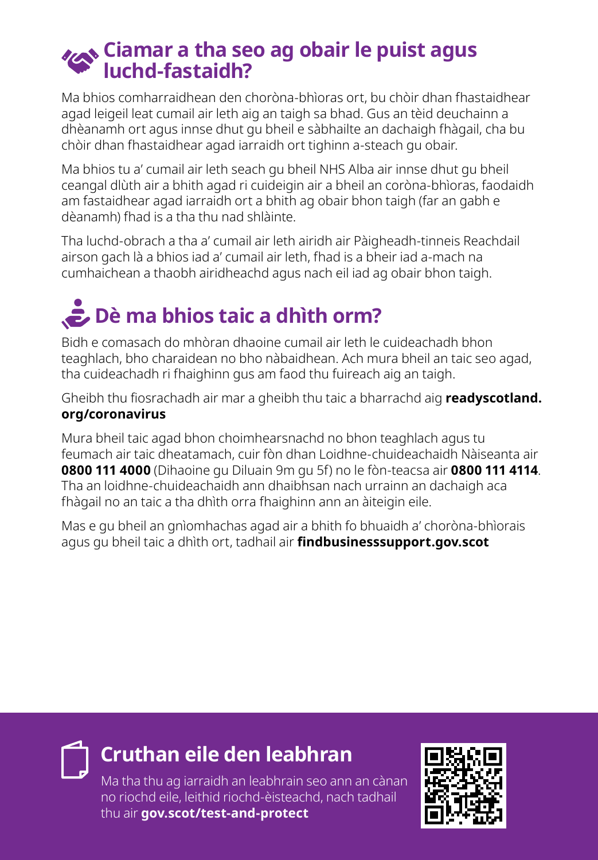#### **Ciamar a tha seo ag obair le puist agus luchd-fastaidh?**

Ma bhios comharraidhean den choròna-bhìoras ort, bu chòir dhan fhastaidhear agad leigeil leat cumail air leth aig an taigh sa bhad. Gus an tèid deuchainn a dhèanamh ort agus innse dhut gu bheil e sàbhailte an dachaigh fhàgail, cha bu chòir dhan fhastaidhear agad iarraidh ort tighinn a-steach gu obair.

Ma bhios tu a' cumail air leth seach gu bheil NHS Alba air innse dhut gu bheil ceangal dlùth air a bhith agad ri cuideigin air a bheil an coròna-bhìoras, faodaidh am fastaidhear agad iarraidh ort a bhith ag obair bhon taigh (far an gabh e dèanamh) fhad is a tha thu nad shlàinte.

Tha luchd-obrach a tha a' cumail air leth airidh air Pàigheadh-tinneis Reachdail airson gach là a bhios iad a' cumail air leth, fhad is a bheir iad a-mach na cumhaichean a thaobh airidheachd agus nach eil iad ag obair bhon taigh.

# **Dè ma bhios taic a dhìth orm?**

Bidh e comasach do mhòran dhaoine cumail air leth le cuideachadh bhon teaghlach, bho charaidean no bho nàbaidhean. Ach mura bheil an taic seo agad, tha cuideachadh ri fhaighinn gus am faod thu fuireach aig an taigh.

Gheibh thu fiosrachadh air mar a gheibh thu taic a bharrachd aig **readyscotland. org/coronavirus**

Mura bheil taic agad bhon choimhearsnachd no bhon teaghlach agus tu feumach air taic dheatamach, cuir fòn dhan Loidhne-chuideachaidh Nàiseanta air **0800 111 4000** (Dihaoine gu Diluain 9m gu 5f) no le fòn-teacsa air **0800 111 4114**. Tha an loidhne-chuideachaidh ann dhaibhsan nach urrainn an dachaigh aca fhàgail no an taic a tha dhìth orra fhaighinn ann an àiteigin eile.

Mas e gu bheil an gnìomhachas agad air a bhith fo bhuaidh a' choròna-bhìorais agus gu bheil taic a dhìth ort, tadhail air **findbusinesssupport.gov.scot**

### **Cruthan eile den leabhran**

Ma tha thu ag iarraidh an leabhrain seo ann an cànan no riochd eile, leithid riochd-èisteachd, nach tadhail thu air **gov.scot/test-and-protect**